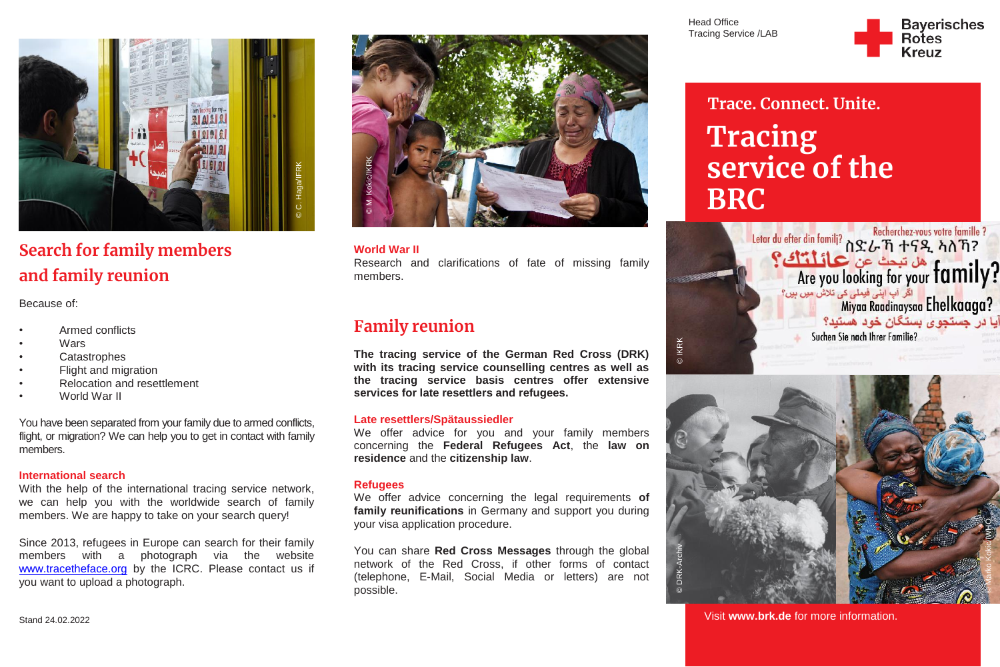

# **Search for family members and family reunion**

Because of:

- Armed conflicts
- **Wars**
- **Catastrophes**
- Flight and migration
- Relocation and resettlement
- World War II

You have been separated from your family due to armed conflicts, flight, or migration? We can help you to get in contact with family members.

#### **International search**

With the help of the international tracing service network, we can help you with the worldwide search of family members. We are happy to take on your search query!

Since 2013, refugees in Europe can search for their family members with a photograph via the website [www.tracetheface.org](http://www.tracetheface.org/) by the ICRC. Please contact us if you want to upload a photograph.



## **World War II** Research and clarifications of fate of missing family members.

# **Family reunion**

**The tracing service of the German Red Cross (DRK) with its tracing service counselling centres as well as the tracing service basis centres offer extensive services for late resettlers and refugees.**

#### **Late resettlers/Spätaussiedler**

We offer advice for you and your family members concerning the **Federal Refugees Act**, the **law on residence** and the **citizenship law**.

#### **Refugees**

We offer advice concerning the legal requirements **of family reunifications** in Germany and support you during your visa application procedure.

You can share **Red Cross Messages** through the global network of the Red Cross, if other forms of contact (telephone, E-Mail, Social Media or letters) are not possible.

Head Office Tracing Service /LAB

**DIKRK** 



# **Trace. Connect. Unite. Tracing service of the BRC**

ی کے مقیمات کے مقیمات کی تعلیم کی تلاش میں ہیں؟<br>Miyaa Raadinaysaa Ehelkaaga? آيا در جستجوی بستگان خود هستيد؟ Suchen Sie nach Ihrer Familie?



Visit **[www.brk.de](http://www.brk.de/)** for more information.